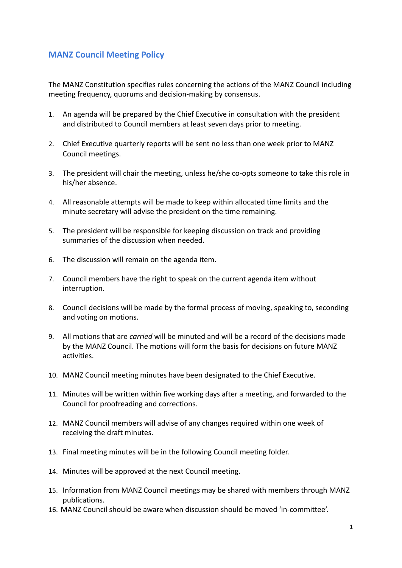## **MANZ Council Meeting Policy**

The MANZ Constitution specifies rules concerning the actions of the MANZ Council including meeting frequency, quorums and decision-making by consensus.

- 1. An agenda will be prepared by the Chief Executive in consultation with the president and distributed to Council members at least seven days prior to meeting.
- 2. Chief Executive quarterly reports will be sent no less than one week prior to MANZ Council meetings.
- 3. The president will chair the meeting, unless he/she co-opts someone to take this role in his/her absence.
- 4. All reasonable attempts will be made to keep within allocated time limits and the minute secretary will advise the president on the time remaining.
- 5. The president will be responsible for keeping discussion on track and providing summaries of the discussion when needed.
- 6. The discussion will remain on the agenda item.
- 7. Council members have the right to speak on the current agenda item without interruption.
- 8. Council decisions will be made by the formal process of moving, speaking to, seconding and voting on motions.
- 9. All motions that are *carried* will be minuted and will be a record of the decisions made by the MANZ Council. The motions will form the basis for decisions on future MANZ activities.
- 10. MANZ Council meeting minutes have been designated to the Chief Executive.
- 11. Minutes will be written within five working days after a meeting, and forwarded to the Council for proofreading and corrections.
- 12. MANZ Council members will advise of any changes required within one week of receiving the draft minutes.
- 13. Final meeting minutes will be in the following Council meeting folder.
- 14. Minutes will be approved at the next Council meeting.
- 15. Information from MANZ Council meetings may be shared with members through MANZ publications.
- 16. MANZ Council should be aware when discussion should be moved 'in-committee'.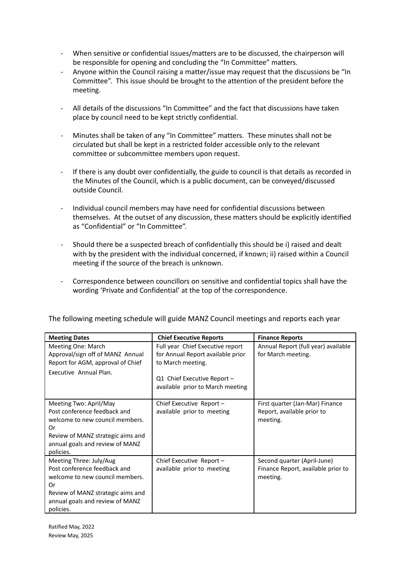- When sensitive or confidential issues/matters are to be discussed, the chairperson will be responsible for opening and concluding the "In Committee" matters.
- Anyone within the Council raising a matter/issue may request that the discussions be "In Committee". This issue should be brought to the attention of the president before the meeting.
- All details of the discussions "In Committee" and the fact that discussions have taken place by council need to be kept strictly confidential.
- Minutes shall be taken of any "In Committee" matters. These minutes shall not be circulated but shall be kept in a restricted folder accessible only to the relevant committee or subcommittee members upon request.
- If there is any doubt over confidentially, the guide to council is that details as recorded in the Minutes of the Council, which is a public document, can be conveyed/discussed outside Council.
- Individual council members may have need for confidential discussions between themselves. At the outset of any discussion, these matters should be explicitly identified as "Confidential" or "In Committee".
- Should there be a suspected breach of confidentially this should be i) raised and dealt with by the president with the individual concerned, if known; ii) raised within a Council meeting if the source of the breach is unknown.
- Correspondence between councillors on sensitive and confidential topics shall have the wording 'Private and Confidential' at the top of the correspondence.

| <b>Meeting Dates</b>                                                                                                                                                                  | <b>Chief Executive Reports</b>                                                                                                                                | <b>Finance Reports</b>                                                        |
|---------------------------------------------------------------------------------------------------------------------------------------------------------------------------------------|---------------------------------------------------------------------------------------------------------------------------------------------------------------|-------------------------------------------------------------------------------|
| Meeting One: March<br>Approval/sign off of MANZ Annual<br>Report for AGM, approval of Chief<br>Executive Annual Plan.                                                                 | Full year Chief Executive report<br>for Annual Report available prior<br>to March meeting.<br>Q1 Chief Executive Report -<br>available prior to March meeting | Annual Report (full year) available<br>for March meeting.                     |
| Meeting Two: April/May<br>Post conference feedback and<br>welcome to new council members.<br>Or<br>Review of MANZ strategic aims and<br>annual goals and review of MANZ<br>policies.  | Chief Executive Report $-$<br>available prior to meeting                                                                                                      | First quarter (Jan-Mar) Finance<br>Report, available prior to<br>meeting.     |
| Meeting Three: July/Aug<br>Post conference feedback and<br>welcome to new council members.<br>Or<br>Review of MANZ strategic aims and<br>annual goals and review of MANZ<br>policies. | Chief Executive Report -<br>available prior to meeting                                                                                                        | Second quarter (April-June)<br>Finance Report, available prior to<br>meeting. |

The following meeting schedule will guide MANZ Council meetings and reports each year